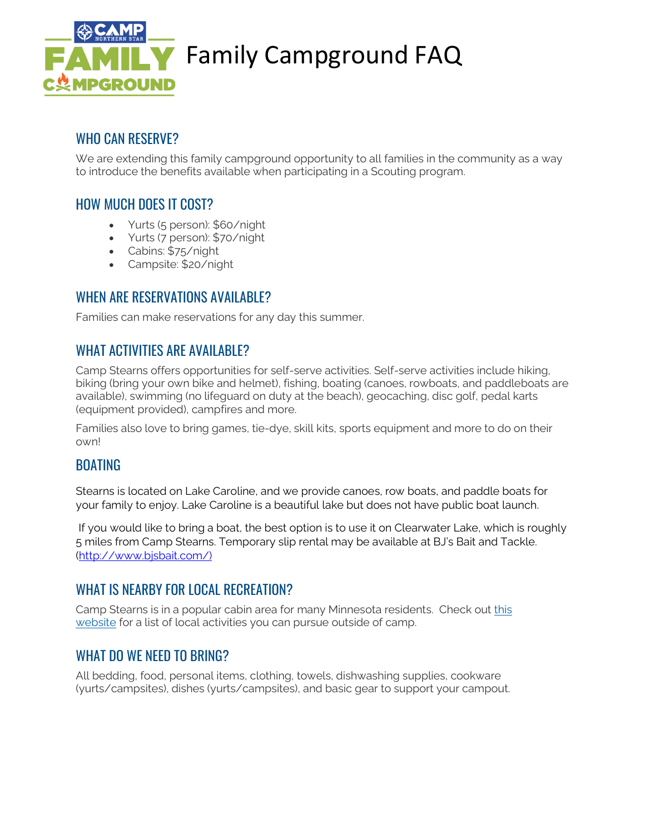

# **ILY** Family Campground FAQ

### WHO CAN RESERVE?

We are extending this family campground opportunity to all families in the community as a way to introduce the benefits available when participating in a Scouting program.

### HOW MUCH DOES IT COST?

- Yurts (5 person): \$60/night
- Yurts (7 person): \$70/night
- Cabins: \$75/night
- Campsite: \$20/night

#### WHEN ARE RESERVATIONS AVAILABLE?

Families can make reservations for any day this summer.

#### WHAT ACTIVITIES ARE AVAILABLE?

Camp Stearns offers opportunities for self-serve activities. Self-serve activities include hiking, biking (bring your own bike and helmet), fishing, boating (canoes, rowboats, and paddleboats are available), swimming (no lifeguard on duty at the beach), geocaching, disc golf, pedal karts (equipment provided), campfires and more.

Families also love to bring games, tie-dye, skill kits, sports equipment and more to do on their own!

#### BOATING

Stearns is located on Lake Caroline, and we provide canoes, row boats, and paddle boats for your family to enjoy. Lake Caroline is a beautiful lake but does not have public boat launch.

If you would like to bring a boat, the best option is to use it on Clearwater Lake, which is roughly 5 miles from Camp Stearns. Temporary slip rental may be available at BJ's Bait and Tackle. [\(http://www.bjsbait.com/\)](http://www.bjsbait.com/)

#### WHAT IS NEARBY FOR LOCAL RECREATION?

Camp Stearns is in a popular cabin area for many Minnesota residents. Check out [this](https://www.stearnscountymn.gov/238/Parks) [website](https://www.stearnscountymn.gov/238/Parks) for a list of local activities you can pursue outside of camp.

#### WHAT DO WE NFFD TO BRING?

All bedding, food, personal items, clothing, towels, dishwashing supplies, cookware (yurts/campsites), dishes (yurts/campsites), and basic gear to support your campout.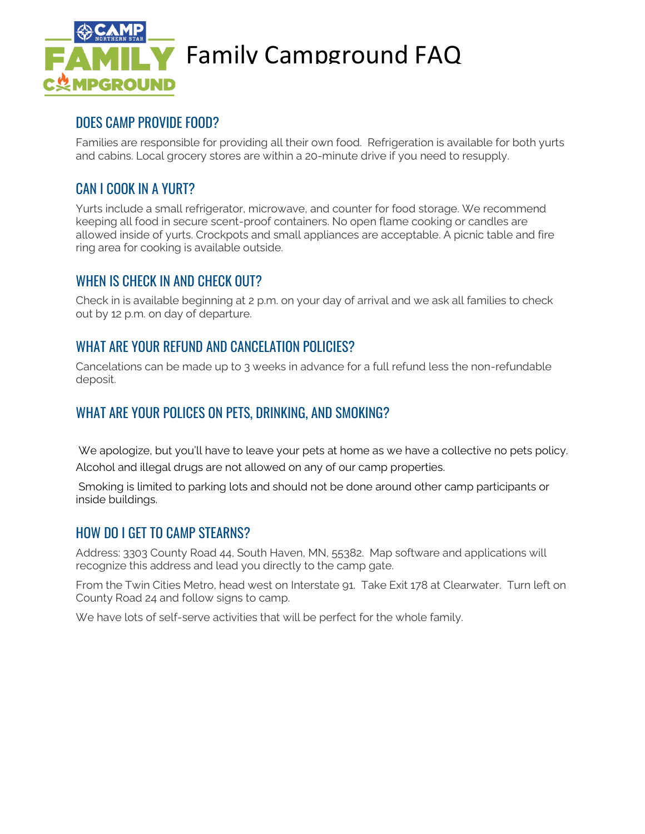

# **LY** Family Campground FAQ

#### DOES CAMP PROVIDE FOOD?

Families are responsible for providing all their own food. Refrigeration is available for both yurts and cabins. Local grocery stores are within a 20-minute drive if you need to resupply.

#### CAN I COOK IN A YURT?

Yurts include a small refrigerator, microwave, and counter for food storage. We recommend keeping all food in secure scent-proof containers. No open flame cooking or candles are allowed inside of yurts. Crockpots and small appliances are acceptable. A picnic table and fire ring area for cooking is available outside.

#### WHEN IS CHECK IN AND CHECK OUT?

Check in is available beginning at 2 p.m. on your day of arrival and we ask all families to check out by 12 p.m. on day of departure.

#### WHAT ARE YOUR REFUND AND CANCELATION POLICIES?

Cancelations can be made up to 3 weeks in advance for a full refund less the non-refundable deposit.

#### WHAT ARE YOUR POLICES ON PETS, DRINKING, AND SMOKING?

We apologize, but you'll have to leave your pets at home as we have a collective no pets policy. Alcohol and illegal drugs are not allowed on any of our camp properties.

Smoking is limited to parking lots and should not be done around other camp participants or inside buildings.

#### HOW DO I GET TO CAMP STEARNS?

Address: 3303 County Road 44, South Haven, MN, 55382. Map software and applications will recognize this address and lead you directly to the camp gate.

From the Twin Cities Metro, head west on Interstate 91. Take Exit 178 at Clearwater. Turn left on County Road 24 and follow signs to camp.

We have lots of self-serve activities that will be perfect for the whole family.